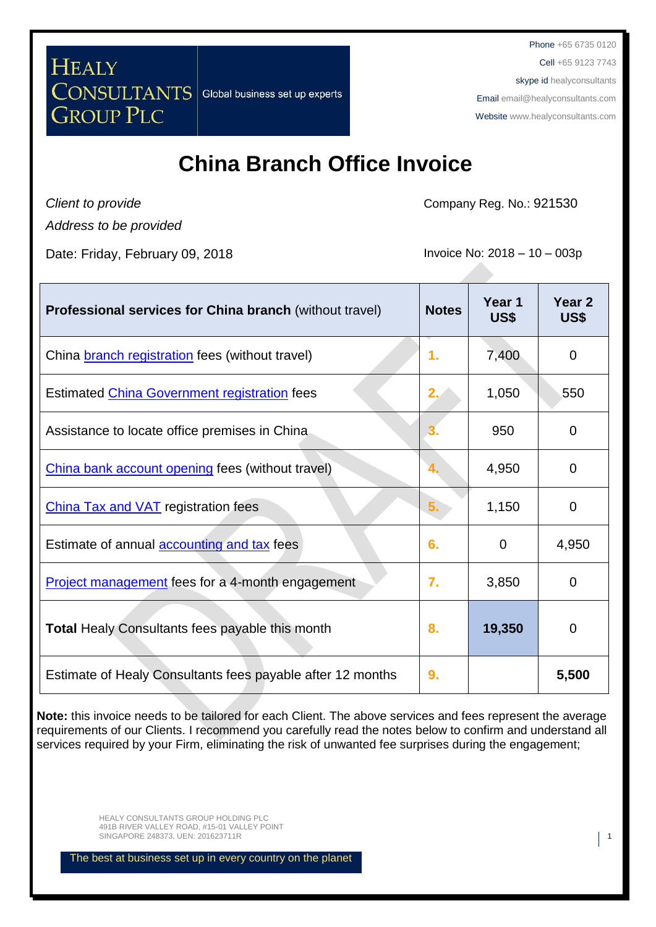**HEALY CONSULTANTS GROUP PLC** 

Global business set up experts

Phone +65 6735 0120 Cell +65 9123 7743 skype id healyconsultants Email [email@healyconsultants.com](mailto:EMAIL@HEALYCONSULTANTS.COM) Website [www.healyconsultants.com](http://www.healyconsultants.com/)

## **China Branch Office Invoice**

*Client to provide Address to be provided*

Date: Friday, February 09, 2018 **Invoice No: 2018** - 10 – 003p

Company Reg. No.: 921530

| <b>Professional services for China branch (without travel)</b> | <b>Notes</b> | Year 1<br>US\$ | Year <sub>2</sub><br>US\$ |
|----------------------------------------------------------------|--------------|----------------|---------------------------|
| China <b>branch registration</b> fees (without travel)         | 1.           | 7,400          | 0                         |
| Estimated China Government registration fees                   | 2.           | 1,050          | 550                       |
| Assistance to locate office premises in China                  | З.           | 950            | 0                         |
| China bank account opening fees (without travel)               | 4.           | 4,950          | 0                         |
| <b>China Tax and VAT registration fees</b>                     | 5.           | 1,150          | 0                         |
| Estimate of annual <b>accounting and tax</b> fees              | 6.           | 0              | 4,950                     |
| <b>Project management</b> fees for a 4-month engagement        | 7.           | 3,850          | 0                         |
| Total Healy Consultants fees payable this month                | 8.           | 19,350         | 0                         |
| Estimate of Healy Consultants fees payable after 12 months     | 9.           |                | 5,500                     |

**Note:** this invoice needs to be tailored for each Client. The above services and fees represent the average requirements of our Clients. I recommend you carefully read the notes below to confirm and understand all services required by your Firm, eliminating the risk of unwanted fee surprises during the engagement;

> HEALY CONSULTANTS GROUP HOLDING PLC 491B RIVER VALLEY ROAD, #15-01 VALLEY POINT SINGAPORE 248373, UEN: 201623711R 1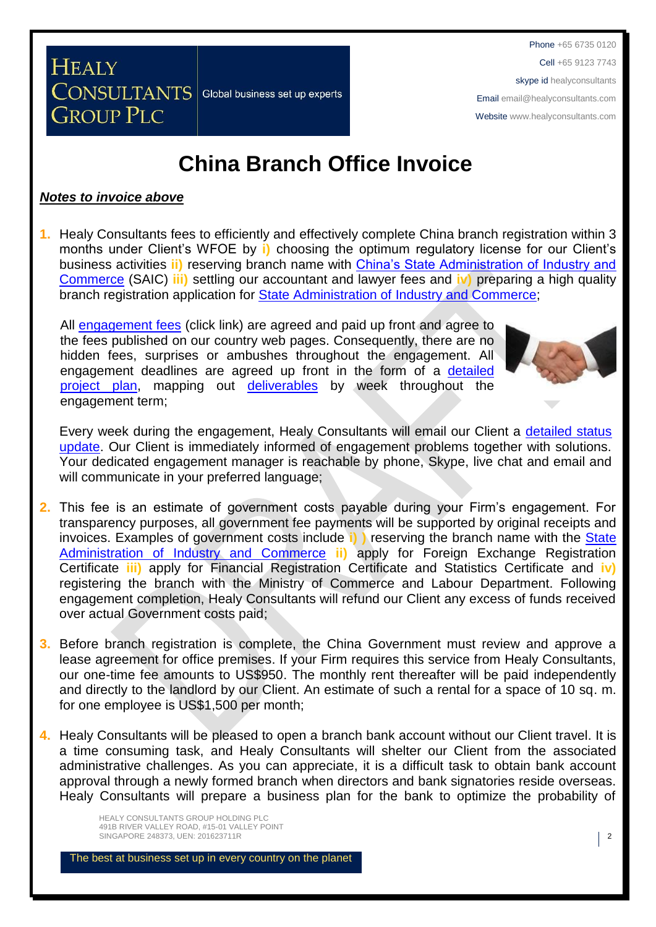**China Branch Office Invoice**

### *Notes to invoice above*

**CONSULTANTS** 

**GROUP PLC** 

**HEALY** 

**1.** Healy Consultants fees to efficiently and effectively complete China branch registration within 3 months under Client's WFOE by **i)** choosing the optimum regulatory license for our Client's business activities **ii)** reserving branch name with [China's State Administration of Industry and](http://www.saic.gov.cn/english/)  [Commerce](http://www.saic.gov.cn/english/) (SAIC) **iii)** settling our accountant and lawyer fees and **iv)** preparing a high quality branch registration application for **State Administration of Industry and Commerce**;

All [engagement fees](http://www.healyconsultants.com/company-registration-fees/) (click link) are agreed and paid up front and agree to the fees published on our country web pages. Consequently, there are no hidden fees, surprises or ambushes throughout the engagement. All engagement deadlines are agreed up front in the form of a [detailed](http://www.healyconsultants.com/index-important-links/example-project-plan/)  [project plan,](http://www.healyconsultants.com/index-important-links/example-project-plan/) mapping out [deliverables](http://www.healyconsultants.com/deliverables-to-our-clients/) by week throughout the engagement term;

Global business set up experts



Every week during the engagement, Healy Consultants will email our Client a [detailed status](http://www.healyconsultants.com/index-important-links/weekly-engagement-status-email/)  [update.](http://www.healyconsultants.com/index-important-links/weekly-engagement-status-email/) Our Client is immediately informed of engagement problems together with solutions. Your dedicated engagement manager is reachable by phone, Skype, live chat and email and will communicate in your preferred language;

- **2.** This fee is an estimate of government costs payable during your Firm's engagement. For transparency purposes, all government fee payments will be supported by original receipts and invoices. Examples of government costs include **i) )** reserving the branch name with the [State](../../../../AppData/Local/Microsoft/Windows/INetCache/Content.Outlook/WFAY7SUT/China’s%20State%20Administration%20of%20Industry%20and%20Commerce)  [Administration of Industry and Commerce](../../../../AppData/Local/Microsoft/Windows/INetCache/Content.Outlook/WFAY7SUT/China’s%20State%20Administration%20of%20Industry%20and%20Commerce) **ii)** apply for Foreign Exchange Registration Certificate **iii)** apply for Financial Registration Certificate and Statistics Certificate and **iv)** registering the branch with the Ministry of Commerce and Labour Department. Following engagement completion, Healy Consultants will refund our Client any excess of funds received over actual Government costs paid;
- **3.** Before branch registration is complete, the China Government must review and approve a lease agreement for office premises. If your Firm requires this service from Healy Consultants, our one-time fee amounts to US\$950. The monthly rent thereafter will be paid independently and directly to the landlord by our Client. An estimate of such a rental for a space of 10 sq. m. for one employee is US\$1,500 per month;
- **4.** Healy Consultants will be pleased to open a branch bank account without our Client travel. It is a time consuming task, and Healy Consultants will shelter our Client from the associated administrative challenges. As you can appreciate, it is a difficult task to obtain bank account approval through a newly formed branch when directors and bank signatories reside overseas. Healy Consultants will prepare a business plan for the bank to optimize the probability of

HEALY CONSULTANTS GROUP HOLDING PLC 491B RIVER VALLEY ROAD, #15-01 VALLEY POINT SINGAPORE 248373, UEN: 201623711R 2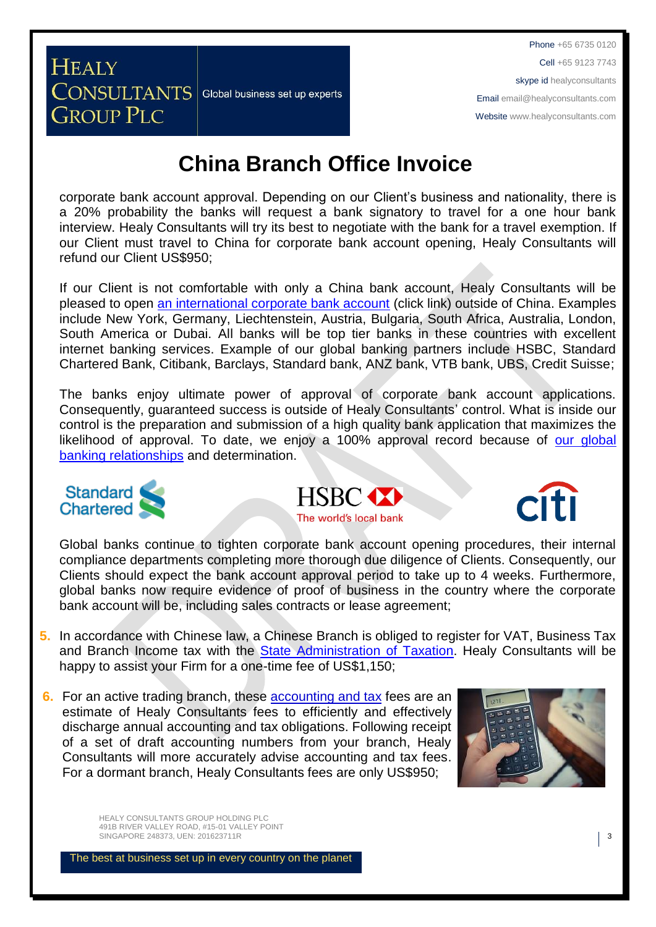# **China Branch Office Invoice**

Global business set up experts

corporate bank account approval. Depending on our Client's business and nationality, there is a 20% probability the banks will request a bank signatory to travel for a one hour bank interview. Healy Consultants will try its best to negotiate with the bank for a travel exemption. If our Client must travel to China for corporate bank account opening, Healy Consultants will refund our Client US\$950;

If our Client is not comfortable with only a China bank account, Healy Consultants will be pleased to open [an international corporate bank account](http://www.healyconsultants.com/international-banking/) (click link) outside of China. Examples include New York, Germany, Liechtenstein, Austria, Bulgaria, South Africa, Australia, London, South America or Dubai. All banks will be top tier banks in these countries with excellent internet banking services. Example of our global banking partners include HSBC, Standard Chartered Bank, Citibank, Barclays, Standard bank, ANZ bank, VTB bank, UBS, Credit Suisse;

The banks enjoy ultimate power of approval of corporate bank account applications. Consequently, guaranteed success is outside of Healy Consultants' control. What is inside our control is the preparation and submission of a high quality bank application that maximizes the likelihood of approval. To date, we enjoy a 100% approval record because of our global [banking relationships](http://www.healyconsultants.com/international-banking/corporate-accounts/) and determination.



**HEALY** 

**CONSULTANTS** 

**GROUP PLC** 





Global banks continue to tighten corporate bank account opening procedures, their internal compliance departments completing more thorough due diligence of Clients. Consequently, our Clients should expect the bank account approval period to take up to 4 weeks. Furthermore, global banks now require evidence of proof of business in the country where the corporate bank account will be, including sales contracts or lease agreement;

- **5.** In accordance with Chinese law, a Chinese Branch is obliged to register for VAT, Business Tax and Branch Income tax with the [State Administration of Taxation.](http://www.chinatax.gov.cn/2013/n2925/) Healy Consultants will be happy to assist your Firm for a one-time fee of US\$1,150;
- **6.** For an active trading branch, these accounting and tax fees are an estimate of Healy Consultants fees to efficiently and effectively discharge annual accounting and tax obligations. Following receipt of a set of draft accounting numbers from your branch, Healy Consultants will more accurately advise accounting and tax fees. For a dormant branch, Healy Consultants fees are only US\$950;



HEALY CONSULTANTS GROUP HOLDING PLC 491B RIVER VALLEY ROAD, #15-01 VALLEY POINT SINGAPORE 248373, UEN: 201623711R 3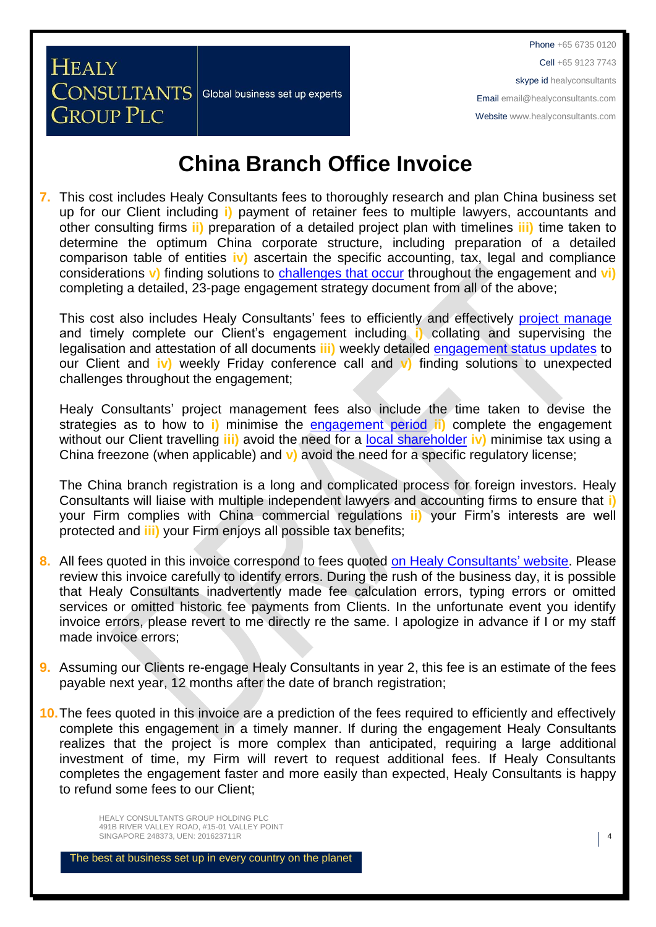# **China Branch Office Invoice**

Global business set up experts

**HEALY** 

**CONSULTANTS** 

**GROUP PLC** 

**7.** This cost includes Healy Consultants fees to thoroughly research and plan China business set up for our Client including **i)** payment of retainer fees to multiple lawyers, accountants and other consulting firms **ii)** preparation of a detailed project plan with timelines **iii)** time taken to determine the optimum China corporate structure, including preparation of a detailed comparison table of entities **iv)** ascertain the specific accounting, tax, legal and compliance considerations **v)** finding solutions to [challenges that occur](http://www.healyconsultants.com/engagement-project-management/) throughout the engagement and **vi)** completing a detailed, 23-page engagement strategy document from all of the above;

This cost also includes Healy Consultants' fees to efficiently and effectively [project manage](http://www.healyconsultants.com/project-manage-engagements/) and timely complete our Client's engagement including **i)** collating and supervising the legalisation and attestation of all documents **iii)** weekly detailed [engagement status updates](http://www.healyconsultants.com/index-important-links/weekly-engagement-status-email/) to our Client and **iv)** weekly Friday conference call and **v)** finding solutions to unexpected challenges throughout the engagement;

Healy Consultants' project management fees also include the time taken to devise the strategies as to how to **i)** minimise the [engagement period](http://www.healyconsultants.com/china-company-registration/fees-timelines/#timelines) **ii)** complete the engagement without our Client travelling **iii)** avoid the need for a [local shareholder](http://www.healyconsultants.com/support-services/) **iv)** minimise tax using a China freezone (when applicable) and **v)** avoid the need for a specific regulatory license;

The China branch registration is a long and complicated process for foreign investors. Healy Consultants will liaise with multiple independent lawyers and accounting firms to ensure that **i)** your Firm complies with China commercial regulations **ii)** your Firm's interests are well protected and **iii)** your Firm enjoys all possible tax benefits;

- **8.** All fees quoted in this invoice correspond to fees quoted on [Healy Consultants'](http://www.healyconsultants.com/company-registration-fees/) website. Please review this invoice carefully to identify errors. During the rush of the business day, it is possible that Healy Consultants inadvertently made fee calculation errors, typing errors or omitted services or omitted historic fee payments from Clients. In the unfortunate event you identify invoice errors, please revert to me directly re the same. I apologize in advance if I or my staff made invoice errors;
- **9.** Assuming our Clients re-engage Healy Consultants in year 2, this fee is an estimate of the fees payable next year, 12 months after the date of branch registration;
- **10.**The fees quoted in this invoice are a prediction of the fees required to efficiently and effectively complete this engagement in a timely manner. If during the engagement Healy Consultants realizes that the project is more complex than anticipated, requiring a large additional investment of time, my Firm will revert to request additional fees. If Healy Consultants completes the engagement faster and more easily than expected, Healy Consultants is happy to refund some fees to our Client;

HEALY CONSULTANTS GROUP HOLDING PLC 491B RIVER VALLEY ROAD, #15-01 VALLEY POINT SINGAPORE 248373, UEN: 201623711R 4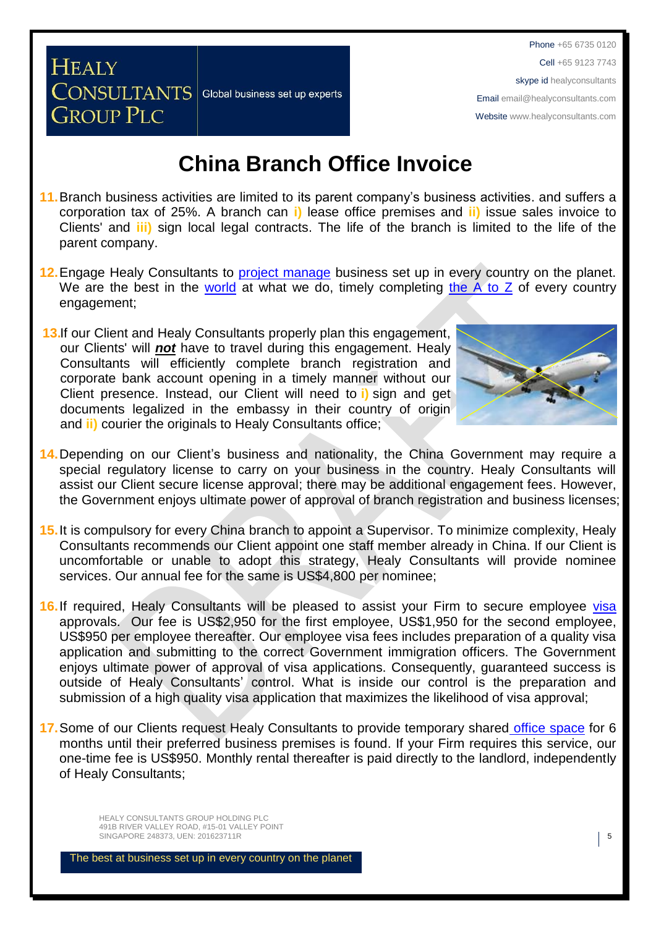## **China Branch Office Invoice**

Global business set up experts

- **11.**Branch business activities are limited to its parent company's business activities. and suffers a corporation tax of 25%. A branch can **i)** lease office premises and **ii)** issue sales invoice to Clients' and **iii)** sign local legal contracts. The life of the branch is limited to the life of the parent company.
- 12. Engage Healy Consultants to **project manage** business set up in every country on the planet. We are the best in the [world](http://www.healyconsultants.com/best-in-the-world/) at what we do, timely completing the  $A$  to  $Z$  of every country engagement;
- **13.** If our Client and Healy Consultants properly plan this engagement, our Clients' will *not* have to travel during this engagement. Healy Consultants will efficiently complete branch registration and corporate bank account opening in a timely manner without our Client presence. Instead, our Client will need to **i)** sign and get documents legalized in the embassy in their country of origin and **ii)** courier the originals to Healy Consultants office;

**HEALY** 

**CONSULTANTS** 

**GROUP PLC** 



- **14.**Depending on our Client's business and nationality, the China Government may require a special regulatory license to carry on your business in the country. Healy Consultants will assist our Client secure license approval; there may be additional engagement fees. However, the Government enjoys ultimate power of approval of branch registration and business licenses;
- **15.**It is compulsory for every China branch to appoint a Supervisor. To minimize complexity, Healy Consultants recommends our Client appoint one staff member already in China. If our Client is uncomfortable or unable to adopt this strategy, Healy Consultants will provide nominee services. Our annual fee for the same is US\$4,800 per nominee;
- 16. If required, Healy Consultants will be pleased to assist your Firm to secure employee [visa](http://www.healyconsultants.com/china-company-registration/formation-support-services/) approvals. Our fee is US\$2,950 for the first employee, US\$1,950 for the second employee, US\$950 per employee thereafter. Our employee visa fees includes preparation of a quality visa application and submitting to the correct Government immigration officers. The Government enjoys ultimate power of approval of visa applications. Consequently, guaranteed success is outside of Healy Consultants' control. What is inside our control is the preparation and submission of a high quality visa application that maximizes the likelihood of visa approval;
- **17.**Some of our Clients request Healy Consultants to provide temporary shared [office space](http://www.healyconsultants.com/virtual-office/) for 6 months until their preferred business premises is found. If your Firm requires this service, our one-time fee is US\$950. Monthly rental thereafter is paid directly to the landlord, independently of Healy Consultants;

HEALY CONSULTANTS GROUP HOLDING PLC 491B RIVER VALLEY ROAD, #15-01 VALLEY POINT SINGAPORE 248373, UEN: 201623711R **5**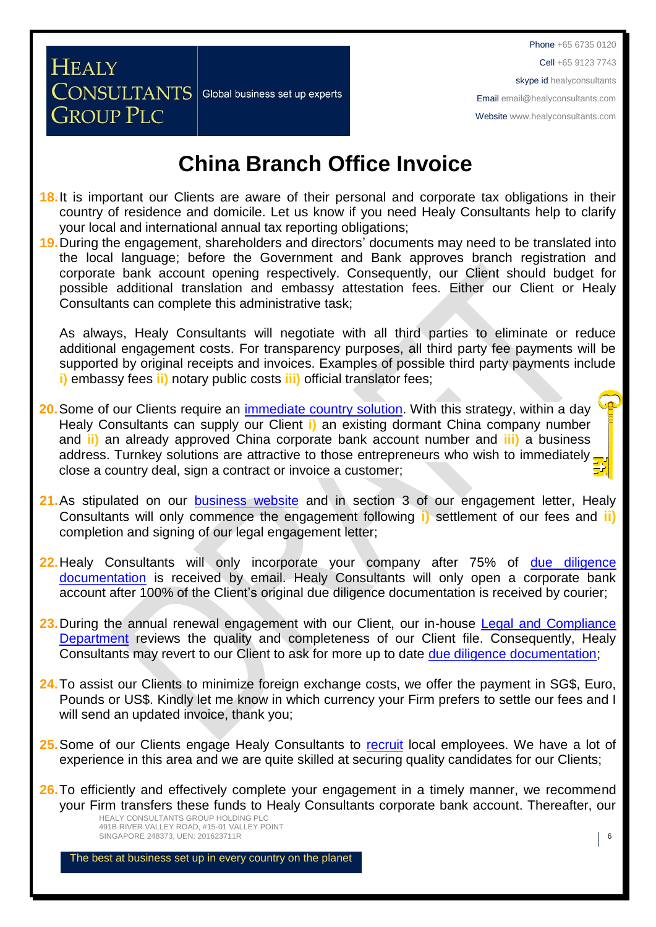**China Branch Office Invoice**

Global business set up experts

**HEALY** 

**CONSULTANTS** 

**GROUP PLC** 

- **18.**It is important our Clients are aware of their personal and corporate tax obligations in their country of residence and domicile. Let us know if you need Healy Consultants help to clarify your local and international annual tax reporting obligations;
- **19.**During the engagement, shareholders and directors' documents may need to be translated into the local language; before the Government and Bank approves branch registration and corporate bank account opening respectively. Consequently, our Client should budget for possible additional translation and embassy attestation fees. Either our Client or Healy Consultants can complete this administrative task;

As always, Healy Consultants will negotiate with all third parties to eliminate or reduce additional engagement costs. For transparency purposes, all third party fee payments will be supported by original receipts and invoices. Examples of possible third party payments include **i)** embassy fees **ii)** notary public costs **iii)** official translator fees;

- **20.**Some of our Clients require an [immediate country](http://www.healyconsultants.com/turnkey-solutions/) solution. With this strategy, within a day Healy Consultants can supply our Client **i)** an existing dormant China company number and **ii)** an already approved China corporate bank account number and **iii)** a business address. Turnkey solutions are attractive to those entrepreneurs who wish to immediately. close a country deal, sign a contract or invoice a customer;
- **21.**As stipulated on our [business website](http://www.healyconsultants.com/) and in section 3 of our engagement letter, Healy Consultants will only commence the engagement following **i)** settlement of our fees and **ii)** completion and signing of our legal engagement letter;
- **22.**Healy Consultants will only incorporate your company after 75% of [due diligence](http://www.healyconsultants.com/due-diligence/)  [documentation](http://www.healyconsultants.com/due-diligence/) is received by email. Healy Consultants will only open a corporate bank account after 100% of the Client's original due diligence documentation is received by courier;
- **23.**During the annual renewal engagement with our Client, our in-house [Legal and Compliance](http://www.healyconsultants.com/about-us/key-personnel/cai-xin-profile/)  [Department](http://www.healyconsultants.com/about-us/key-personnel/cai-xin-profile/) reviews the quality and completeness of our Client file. Consequently, Healy Consultants may revert to our Client to ask for more up to date [due diligence documentation;](http://www.healyconsultants.com/due-diligence/)
- **24.**To assist our Clients to minimize foreign exchange costs, we offer the payment in SG\$, Euro, Pounds or US\$. Kindly let me know in which currency your Firm prefers to settle our fees and I will send an updated invoice, thank you;
- 25. Some of our Clients engage Healy Consultants to [recruit](http://www.healyconsultants.com/corporate-outsourcing-services/how-we-help-our-clients-recruit-quality-employees/) local employees. We have a lot of experience in this area and we are quite skilled at securing quality candidates for our Clients;
- HEALY CONSULTANTS GROUP HOLDING PLC 491B RIVER VALLEY ROAD, #15-01 VALLEY POINT **26.**To efficiently and effectively complete your engagement in a timely manner, we recommend your Firm transfers these funds to Healy Consultants corporate bank account. Thereafter, our